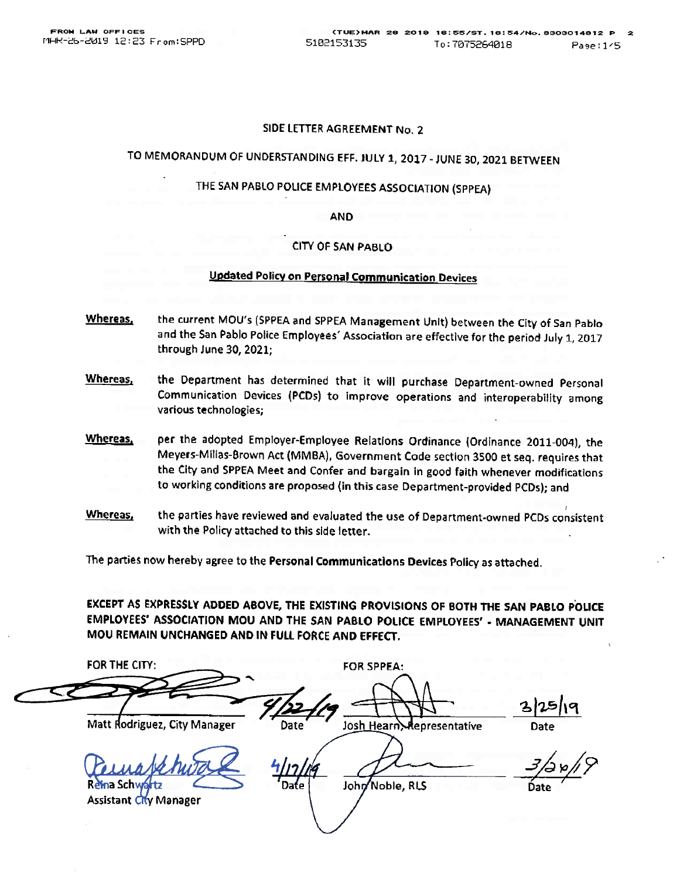#### SIDE LETTER AGREEMENT No. 2

# TO MEMORANDUM OF UNDERSTANDING EFF. JULY 1, 2017 - JUNE 30, 2021 BETWEEN

# THE SAN PABLO POLICE EMPLOYEES ASSOCIATION (SPPEA)

**AND** 

#### **CITY OF SAN PABLO**

#### Updated Policy on Personal Communication Devices

- Whereas. the current MOU's (SPPEA and SPPEA Management Unit) between the City of San Pablo and the San Pablo Police Employees' Association are effective for the period July 1, 2017 through June 30, 2021;
- Whereas, the Department has determined that it will purchase Department-owned Personal Communication Devices (PCDs) to improve operations and interoperability among various technologies;
- Whereas. per the adopted Employer-Employee Relations Ordinance (Ordinance 2011-004), the Meyers-Millas-Brown Act (MMBA), Government Code section 3500 et seq. requires that the City and SPPEA Meet and Confer and bargain in good faith whenever modifications to working conditions are proposed (in this case Department-provided PCDs); and
- Whereas, the parties have reviewed and evaluated the use of Department-owned PCDs consistent with the Policy attached to this side letter.

The parties now hereby agree to the Personal Communications Devices Policy as attached.

EXCEPT AS EXPRESSLY ADDED ABOVE, THE EXISTING PROVISIONS OF BOTH THE SAN PABLO POLICE EMPLOYEES' ASSOCIATION MOU AND THE SAN PABLO POLICE EMPLOYEES' - MANAGEMENT UNIT MOU REMAIN UNCHANGED AND IN FULL FORCE AND EFFECT.

FOR THE CITY: **FOR SPPEA:** Date<br>Date<br>3/2 p/ Matt Rodriguez, City Manager Josh Hearn Representative Date John Noble, RLS **Assistant City Manager**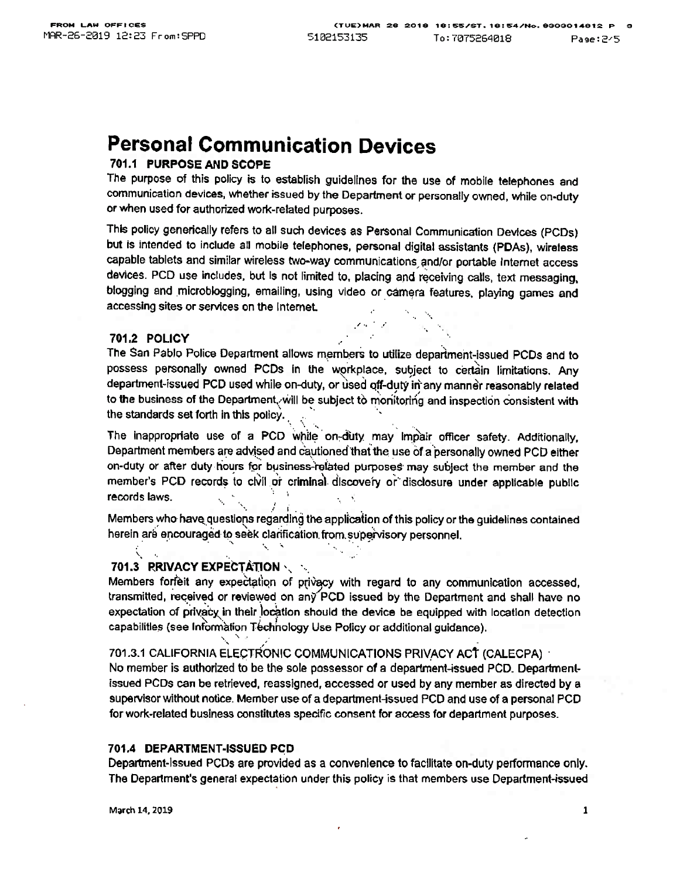# Personal Communication Devices

# <sup>701</sup>.1 PURPOSE AND SCOPE

The purpose of this policy is to establish guidelines for the use of mobile telephones and communication devices. whether issued by the Department or personally owned, while on-duty or when used for authorized work-related purposes.

This policy generically refers to all such devices as Personal Communication Devices (PCDs) but is intended to include all mobile telephones. personal digital assistants (PDAS), wireless capable tablets and similar wireless two-way communications and/or portable Internet access devices. PCD use includes, but is not limited to, placing and receiving calls. text messaging. blogging and microblogging, emailing, using video or camera features, playing games and accessing sites or services on the Internet.

#### <sup>701</sup>.2 POLICY

 $\ddot{\bm{\zeta}}$ 

The San Pablo Police Department allows members to utilize department-issued PCDs and to possess personally owned PCDs in the workplace, subject to certain limitations. Any department-issued PCD used while on-duty, or used off-duty in any manner reasonably related to the business of the Department. will be subject to monitoring and inspection consistent with the standards set forth in this policy.

The inappropriate use of a PCD while on-duty may impair officer safety. Additionally, Department members are advised and cautioned that the use of a personally owned PCD either on-duty or after duty hours for business-related purposes may subject the member and the member's PCD records to civil or criminal discovery or disclosure under applicable public records laws.

Members who have questions regarding the application of this policy or the guidelines contained herein are encouraged to seek clarification from supervisory personnel.

# 701.3 RRIVACY EXPECTATION ...

Members forfeit any expectation of privacy with regard to any communication accessed. transmitted, received or reviewed on any PCD issued by the Department and shall have no expectation of privacy in their location should the device be equipped with location detection capabilities (see Information Technology Use Policy or additional guidance).

701 .3.1 CAUFORNIA ELECTRONIC COMMUNICATIONS PRIVACY ACt (CALECPA) No member is authorized to be tho sole possessor of a department-issued PCD. Departrnenlissued PCDs can be retrieved, reassigned, accessed or used by any member as directed by a supervisor without notice. Member use of a department-issued PCD and use of a personal PCD for work-related business constitutes specific consent for access for department purposes.

#### 701,4 DEPARTMENT-ISSUED PCD

Department-Issued PCDs are provided as a convenience to facilitate on-duty performance only. The Department's general expectation under this policy is that members use Department-issued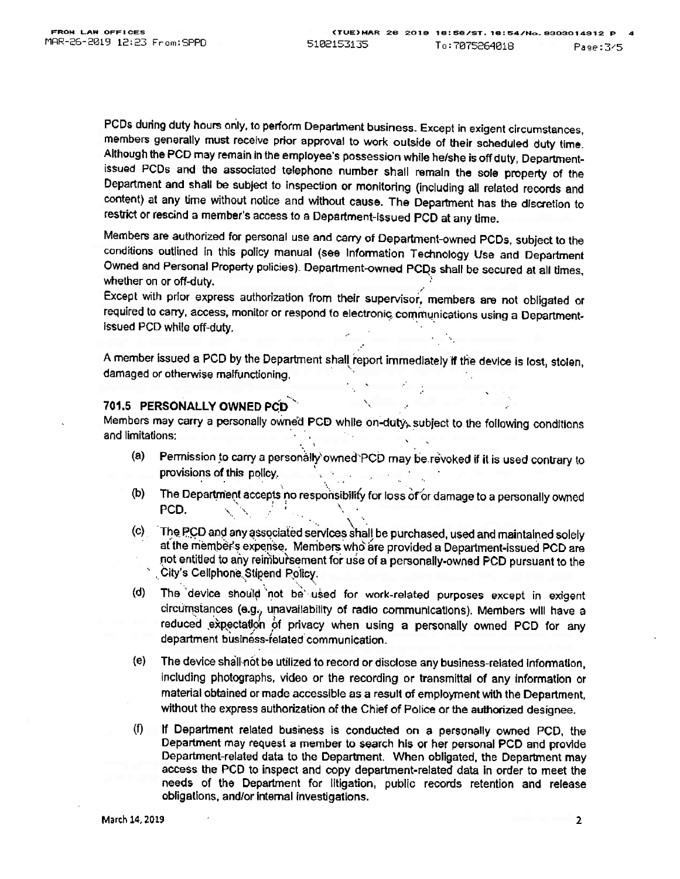PCDs during duty hours only, to perform Department business. Except in exigent circumstances, members generally must receive prior approval to work outside of their scheduled duty time Although the PCD may remain in the employee's possession while he/she is off duty, Departmentissued PCDs and the associated telephone number shall remain the sole property of the Department and shall be subject to inspection or monitoring (including all related records and content) at any time without notice and without cause. The Department has the discretion to restrict or rescind a member's access to a Department-issued PCD at any time.

Members are authorized for personal use and carry of Department-owned PCDs, subject to the conditions outlined in this policy manual (see Information Technology Use and Department Owned and Personal Property policies). Department-owned PCDs shall be secured at all times, whether on or off-duty.

Except with prior express authorization from their supervisor. members are not obligated or required to carry, access, monitor or respond to electronic communications using a Departmentissued PCD while off-duty.

A member issued a PCD by the Department shall report immediately if the device is lost, stolen, damaged or otherwise malfunctioning.

# 701.5 PERSONALLY OWNED PCD

Members may carry a personally owned PCD while on-duty, subject to the following conditions and limitations:

- (a) Permission to carry a personally owned PCD may be revoked if it is used contrary to provisions of this policy.
- $(b)$ The Department accepts no responsibility for loss of or damage to a personally owned<br>DCD PCD, we have the set of  $\mathcal{L}_{\mathcal{D}}$  and  $\mathcal{L}_{\mathcal{D}}$
- (c) The PCD and any associated services shall be purchased, used and maintained solely at the member's expense. Members who are provided a Department-issued PCD are not entitled to any reimbuitsement for use of a personally-owned PCD pursuant to the City's Cellphone Stipend Policy.
- (d) The device should not be used for work-related purposes except in exigent circumstances (e.g., unavailability of radio communications). Members will have a reduced expectation of privacy when using a personally owned PCD for any department business-related communication.
- (e) The device shall-not be utilized to record or disclose any business-related information, including photographs, video or tho recording or transmittal of any information or material obtained or made accessible as a result of employment with the Department. without the express authorization of the Chief of Police or the authorized designee.
- (0 If Department related business is conducted on a personally owned PCD. the Department may request a member to search his or her personal PCD and provide Department-related data to the Department. When obligated, the Department may access the PCD to inspect and copy department-related data in order to meet the needs of the Department for litigation, public records retention and release obligations. and/or intomal investigations.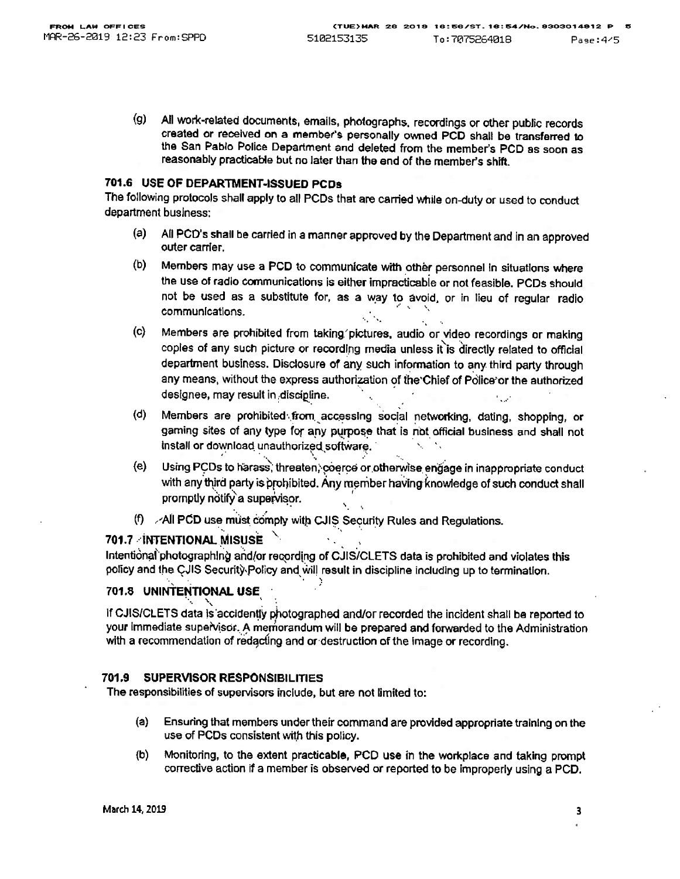(g) All work-related documents, emails, photographs. recordings or other public records created or received on a member's personally owned PCD shall bo transferred to the San Pablo Police Department and deleted from the member's PCD as soon as reasonably practicable but no later than the end of the member's shift.

# 701.6 USE OF DEPARTMENT-ISSUED PCD\$

The following protocols shall apply to all PCDs that are carried while on-duty or used to conduct department business:

- (a) All PCD's shall be carried in a manner approved by the Department and in an approved outer carrier.
- (b) Members may use a PCD to communicate with other personnel in situations where the use of radio communications is either impracticable or not feasible. PCDs should not be used as a substitute for, as a way to avoid, or in lieu of regular radio.<br>communications.
- (c) Members are prohibited from taking.'pictures. audio or.video recordings or making copies of any such picture or recording media unless it is directly related to official department business. Disclosure of any such information to any third party through any means, without the express authorization of the Chief of Police or the authorized designee, may result in discipline.
- Members are prohibited from accessing social networking, dating, shopping, or gaming sites of any type for any purpose that is not official business and shall not install or download unauthorized software. (d)
- (e) Using PCDs to harass, threaten, coerce or otherwise engage in inappropriate conduct with any third party is prohibited. Any member having knowledge of such conduct shall promptly notify a supervisor.
- (f)  $\angle$ -All PCD use must comply with CJIS Security Rules and Regulations.

# 701.7. INTENTIONAL MISUSE  $\overline{ }$

Intentional photographlng and/or recording of CJIS/CLETS data is prohibited and violates this policy and the CJIS Security Policy and will result in discipline including up to termination.

# 701.8 UNINTENTIONAL USE

If CJIS/CLETS data is accidently photographed and/or recorded the incident shall be reported to your immediate supervisor. A memorandum will be prepared and forwarded to the Administration with a recommendation of redacting and or destruction of the Image or recording.

# 7Q1,9 SUPERVISOR RESPONSIBILITIES

The responsibilities of supervisors include, but are not limited to

- (a) Ensuring that members under their command are provided appropriate training on the use of PCDs consistent with this policy.
- (b) Monitoring, to the extant practicable, PCD use in the workplace and taking prompt corrective action if a member is observed or reported to be improperly using a PCD.